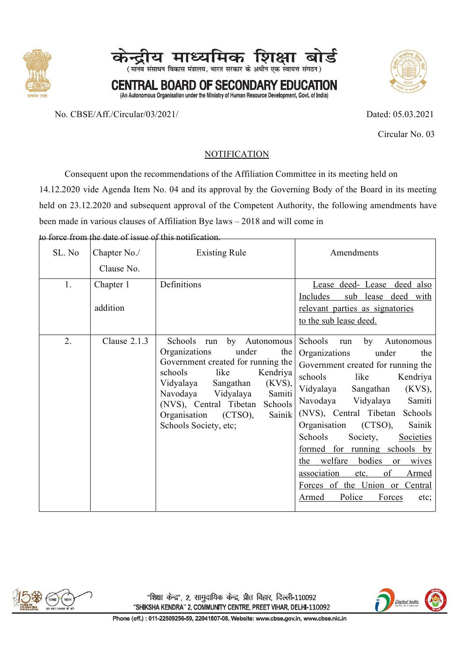



(An Autonomous Organisation under the Ministry of Human Resource Development, Govt. of India)

No. CBSE/Aff./Circular/03/2021/ Dated: 05.03.2021



Circular No. 03

### **NOTIFICATION**

Consequent upon the recommendations of the Affiliation Committee in its meeting held on 14.12.2020 vide Agenda Item No. 04 and its approval by the Governing Body of the Board in its meeting held on 23.12.2020 and subsequent approval of the Competent Authority, the following amendments have been made in various clauses of Affiliation Bye laws – 2018 and will come in

to force from the date of issue of this notification.

| SL. No | Chapter No./<br>Clause No. | <b>Existing Rule</b>                                                                                                                                                                                                                                                                                            | Amendments                                                                                                                                                                                                                                                                                                                                                                                                                                                                                                                    |
|--------|----------------------------|-----------------------------------------------------------------------------------------------------------------------------------------------------------------------------------------------------------------------------------------------------------------------------------------------------------------|-------------------------------------------------------------------------------------------------------------------------------------------------------------------------------------------------------------------------------------------------------------------------------------------------------------------------------------------------------------------------------------------------------------------------------------------------------------------------------------------------------------------------------|
| 1.     | Chapter 1<br>addition      | Definitions                                                                                                                                                                                                                                                                                                     | Lease deed- Lease deed also<br>Includes<br>sub lease deed with<br>relevant parties as signatories<br>to the sub lease deed.                                                                                                                                                                                                                                                                                                                                                                                                   |
| 2.     | Clause $2.1.3$             | Schools run<br>by Autonomous<br>Organizations<br>under<br>the<br>Government created for running the<br>schools<br>like<br>Kendriya<br>Vidyalaya<br>$(KVS)$ ,<br>Sangathan<br>Samiti<br>Navodaya<br>Vidyalaya<br>(NVS), Central Tibetan<br>Schools<br>(CTSO),<br>Sainik<br>Organisation<br>Schools Society, etc; | Schools<br>Autonomous<br>by<br>run<br>Organizations<br>under<br>the<br>Government created for running the<br>schools<br>like<br>Kendriya<br>Vidyalaya<br>$(KVS)$ ,<br>Sangathan<br>Samiti<br>Navodaya<br>Vidyalaya<br>(NVS), Central Tibetan<br>Schools<br>Organisation<br>(CTSO),<br>Sainik<br>Schools<br>Society,<br>Societies<br>formed for running schools by<br>the welfare<br>bodies<br>wives<br>or<br>of<br>association<br><b>Armed</b><br>etc.<br>Forces of the Union or Central<br>Police<br>Forces<br>Armed<br>etc; |



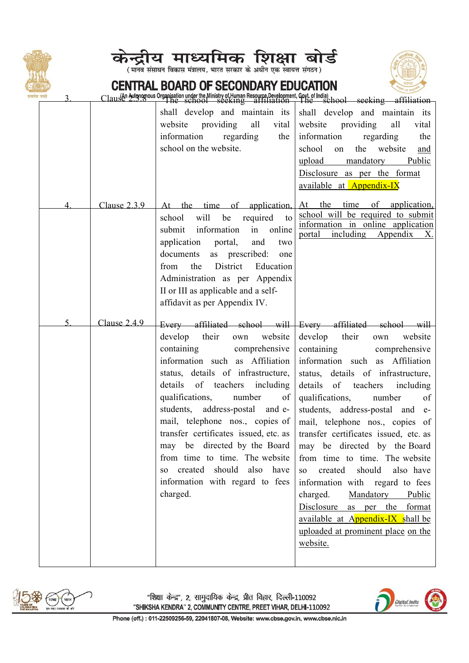

 $\overline{3}$ .



(मानव संसाधन विकास मंत्रालय, भारत सरकार के अधीन एक स्वायत्त संगठन)



### CENTRAL BOARD OF SECONDARY EDUCATION

Clause Autonomous Organisation under the Ministry of Human Resource Development, Goyt. of India)

| यमव जयत |                | $\text{Claus@?2.3.8 }$ The school section $\text{S}$ at $\text{Hilb}$ at $\text{Hilb}$ at $\text{Hilb}$ at $\text{Hilb}$ at $\text{Hilb}$ at $\text{Hilb}$ at $\text{Hilb}$ at $\text{Hilb}$ at $\text{Hilb}$ at $\text{Hilb}$ at $\text{Hilb}$ at $\text{Hilb}$ at $\text{Hilb}$ at $\text{Hil$                                                                                                                                                     |                                                                                                                                                                                                                                                                                                                                                                                                                                                                                                                                                                                                                                                                                                                                                 |
|---------|----------------|------------------------------------------------------------------------------------------------------------------------------------------------------------------------------------------------------------------------------------------------------------------------------------------------------------------------------------------------------------------------------------------------------------------------------------------------------|-------------------------------------------------------------------------------------------------------------------------------------------------------------------------------------------------------------------------------------------------------------------------------------------------------------------------------------------------------------------------------------------------------------------------------------------------------------------------------------------------------------------------------------------------------------------------------------------------------------------------------------------------------------------------------------------------------------------------------------------------|
|         |                | shall develop and maintain its<br>website providing<br>all<br>vital<br>information regarding<br>the<br>school on the website.                                                                                                                                                                                                                                                                                                                        | shall develop and maintain its<br>website providing<br>all<br>vital<br>information<br>regarding<br>the<br>the<br>website<br>school<br>on<br>and<br>upload mandatory Public<br>Disclosure as per the format<br>available at Appendix-IX                                                                                                                                                                                                                                                                                                                                                                                                                                                                                                          |
| 4       | Clause $2.3.9$ | will be required to<br>school<br>information<br>in online<br>submit<br>application portal,<br>and<br>two<br>as prescribed:<br>documents<br>one<br>District<br>the<br>Education<br>from<br>Administration as per Appendix<br>II or III as applicable and a self-<br>affidavit as per Appendix IV.                                                                                                                                                     | At the time of application, At the time of application,<br>school will be required to submit<br>information in online application<br>portal<br>including Appendix<br>X.                                                                                                                                                                                                                                                                                                                                                                                                                                                                                                                                                                         |
| 5.      | Clause $2.4.9$ | develop their<br>website<br>own<br>containing<br>comprehensive<br>information such as Affiliation<br>status, details of infrastructure,<br>details of teachers including<br>qualifications, number<br>of<br>students, address-postal and e-<br>mail, telephone nos., copies of<br>transfer certificates issued, etc. as<br>from time to time. The website<br>should<br>also<br>created<br>have<br>SO.<br>information with regard to fees<br>charged. | Every affiliated school will Every affiliated school will<br>develop their<br>website<br>own<br>containing<br>comprehensive<br>information such as Affiliation<br>status, details of infrastructure,<br>details of teachers<br>including<br>qualifications,<br>of<br>number<br>students, address-postal and e-<br>mail, telephone nos., copies of<br>transfer certificates issued, etc. as<br>may be directed by the Board   may be directed by the Board  <br>from time to time. The website<br>should<br>created<br>also have<br>SO <sub>1</sub><br>information with regard to fees<br>charged.<br>Mandatory Public<br>Disclosure<br>as per the format<br>available at Appendix-IX shall be<br>uploaded at prominent place on the<br>website. |



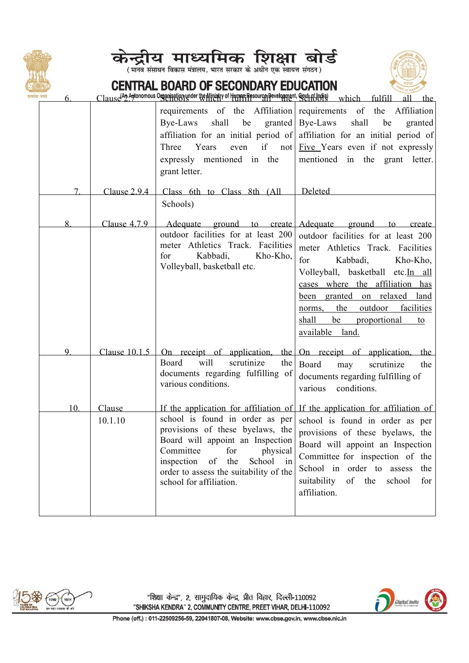





### CENTRAL BOARD OF SECONDARY EDUCATION

Clause<sup>(An</sup> Agtonomous Organization under the Ministry of Human-Resource Development, Goviet Holding which fulfill

|        |                   | Bye-Laws<br>shall<br>be<br>Three<br>Years<br>even<br>expressly mentioned in the<br>grant letter.                                                                                                                                                        | requirements of the Affiliation requirements of the Affiliation<br>$granted \mid Bye-Laws$<br>shall<br>be<br>granted<br>affiliation for an initial period of affiliation for an initial period of<br>if not $\left  \underline{\text{Five}} \underline{\text{Y}}$ Years even if not expressly<br>mentioned in the grant letter.          |
|--------|-------------------|---------------------------------------------------------------------------------------------------------------------------------------------------------------------------------------------------------------------------------------------------------|------------------------------------------------------------------------------------------------------------------------------------------------------------------------------------------------------------------------------------------------------------------------------------------------------------------------------------------|
| $\tau$ | Clause $2.9.4$    | Class 6th to Class 8th (All                                                                                                                                                                                                                             | Deleted                                                                                                                                                                                                                                                                                                                                  |
|        |                   | Schools)                                                                                                                                                                                                                                                |                                                                                                                                                                                                                                                                                                                                          |
| 8.     | Clause 4.7.9      | Adequate ground to create<br>outdoor facilities for at least 200<br>meter Athletics Track. Facilities<br>for<br>Kabbadi,<br>Kho-Kho,<br>Volleyball, basketball etc.                                                                                     | Adequate ground to create<br>outdoor facilities for at least 200<br>meter Athletics Track. Facilities<br>for<br>Kabbadi,<br>Kho-Kho,<br>Volleyball, basketball etc.In all<br>cases where the affiliation has<br>been granted on relaxed land<br>outdoor<br>the<br>facilities<br>norms,<br>shall be proportional<br>to<br>available land. |
| 9.     | Clause 10.1.5     | On receipt of application,<br>will<br>Board<br>scrutinize<br>the<br>documents regarding fulfilling of<br>various conditions.                                                                                                                            | the On receipt of application, the<br>Board<br>scrutinize<br>may<br>the<br>documents regarding fulfilling of<br>various<br>conditions.                                                                                                                                                                                                   |
| 10.    | Clause<br>10.1.10 | school is found in order as per<br>provisions of these byelaws, the<br>Board will appoint an Inspection<br>Committee<br>for<br>physical<br>inspection<br>the<br>School<br>of<br>in<br>order to assess the suitability of the<br>school for affiliation. | If the application for affiliation of If the application for affiliation of<br>school is found in order as per<br>provisions of these byelaws, the<br>Board will appoint an Inspection<br>Committee for inspection of the<br>School in order to assess<br>the<br>of the<br>suitability<br>school<br>for<br>affiliation.                  |



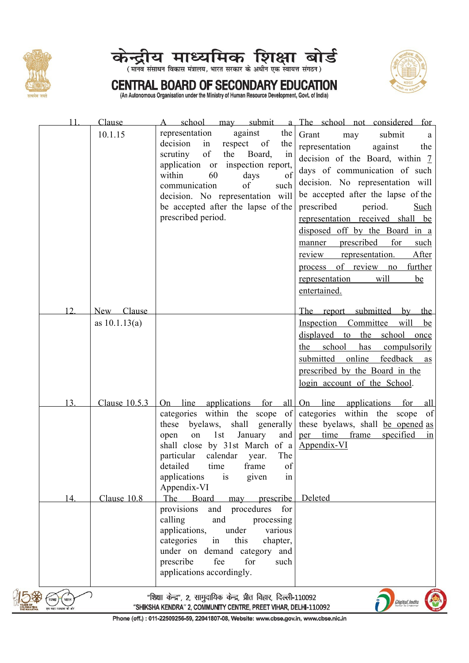





# **CENTRAL BOARD OF SECONDARY EDUCATION** (An Autonomous Organisation under the Ministry of Human Resource Development, Govt. of India)

| 11   | Clause          |                                                                                                                                       | school may submit a The school not considered for                                |
|------|-----------------|---------------------------------------------------------------------------------------------------------------------------------------|----------------------------------------------------------------------------------|
|      | 10.1.15         | representation<br>against<br>the                                                                                                      | Grant<br>submit<br>may<br>a                                                      |
|      |                 | decision<br>in<br>respect of<br>the                                                                                                   | representation<br>against<br>the                                                 |
|      |                 | of<br>scrutiny<br>the<br>Board,<br>in<br>application or inspection report,                                                            | decision of the Board, within 7                                                  |
|      |                 | within<br>60<br>days<br>of                                                                                                            | days of communication of such                                                    |
|      |                 | communication<br>of<br>such                                                                                                           | decision. No representation will                                                 |
|      |                 | decision. No representation will                                                                                                      | be accepted after the lapse of the                                               |
|      |                 | be accepted after the lapse of the                                                                                                    | period.<br>prescribed<br>Such                                                    |
|      |                 | prescribed period.                                                                                                                    | representation received shall be                                                 |
|      |                 |                                                                                                                                       | disposed off by the Board in a                                                   |
|      |                 |                                                                                                                                       | prescribed<br>for<br>such<br>manner                                              |
|      |                 |                                                                                                                                       | After<br>representation.<br>review                                               |
|      |                 |                                                                                                                                       | process of review no<br>further                                                  |
|      |                 |                                                                                                                                       | will<br>representation<br>be                                                     |
|      |                 |                                                                                                                                       | entertained.                                                                     |
| 12.  | New Clause      |                                                                                                                                       | The report submitted by the                                                      |
|      | as $10.1.13(a)$ |                                                                                                                                       | Inspection Committee<br>will<br>be                                               |
|      |                 |                                                                                                                                       | displayed to the school once                                                     |
|      |                 |                                                                                                                                       | school<br>the<br>has<br>compulsorily                                             |
|      |                 |                                                                                                                                       | submitted online feedback as                                                     |
|      |                 |                                                                                                                                       | prescribed by the Board in the                                                   |
|      |                 |                                                                                                                                       | login account of the School.                                                     |
|      |                 |                                                                                                                                       |                                                                                  |
| 13.  |                 |                                                                                                                                       | Clause $10.5.3$ On line applications for all On line applications for all        |
|      |                 |                                                                                                                                       | categories within the scope of categories within the scope of                    |
|      |                 | these byelaws,<br>January<br>1st<br>and<br>on                                                                                         | shall generally these byelaws, shall be opened as<br>per time frame<br>specified |
|      |                 | open<br>shall close by 31st March of a Appendix-VI                                                                                    | 1n                                                                               |
|      |                 | particular<br>calendar<br>The<br>year.                                                                                                |                                                                                  |
|      |                 | detailed<br>of<br>time<br>frame                                                                                                       |                                                                                  |
|      |                 | applications<br>is<br>given<br>in                                                                                                     |                                                                                  |
|      |                 | Appendix-VI                                                                                                                           |                                                                                  |
| 14.  | Clause 10.8     | The Board<br>may prescribe<br>provisions<br>and procedures for                                                                        | Deleted                                                                          |
|      |                 | calling<br>and<br>processing                                                                                                          |                                                                                  |
|      |                 | applications,<br>various<br>under                                                                                                     |                                                                                  |
|      |                 | this<br>categories<br>in<br>chapter,                                                                                                  |                                                                                  |
|      |                 | under on demand category and                                                                                                          |                                                                                  |
|      |                 | fee<br>for<br>prescribe<br>such                                                                                                       |                                                                                  |
|      |                 | applications accordingly.                                                                                                             |                                                                                  |
|      |                 |                                                                                                                                       |                                                                                  |
| भारत |                 | "शिक्षा केन्द्र", 2, सामुदायिक केन्द्र, प्रीत विहार, दिल्ली-110092<br>"SHIKSHA KENDRA" 2, COMMUNITY CENTRE, PREET VIHAR, DELHI-110092 | Digital India                                                                    |
|      |                 |                                                                                                                                       |                                                                                  |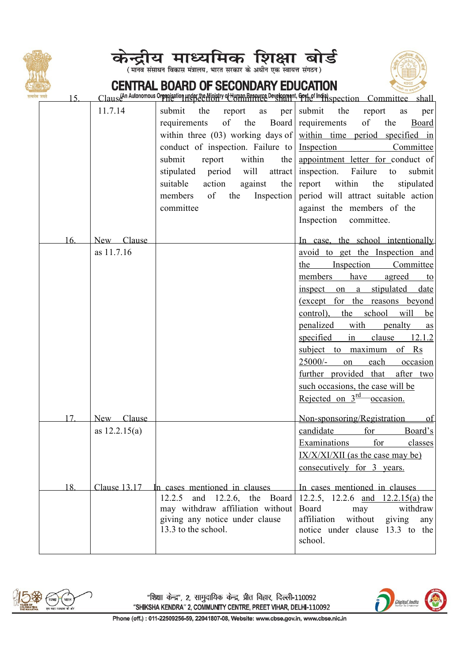





### CENTRAL BOARD OF SECONDARY EDUCATION

| .<br>मेव जयते<br>15. |                 |                                              | Clause <sup>(An Autonomous Organisation</sup> Hust die Ministry of Human Resource Development, Goyt of Indial spection Committee shall |
|----------------------|-----------------|----------------------------------------------|----------------------------------------------------------------------------------------------------------------------------------------|
|                      | 11.7.14         | submit<br>the<br>report<br>as<br>per         | the<br>submit<br>report<br>as<br>per                                                                                                   |
|                      |                 | of<br>requirements<br>the                    | Board requirements<br>of<br>the<br>Board                                                                                               |
|                      |                 |                                              | within three $(03)$ working days of within time period specified in                                                                    |
|                      |                 | conduct of inspection. Failure to Inspection | Committee                                                                                                                              |
|                      |                 | within<br>submit<br>report                   | the appointment letter for conduct of                                                                                                  |
|                      |                 | stipulated period will                       | attract   inspection. Failure<br>submit<br>to                                                                                          |
|                      |                 | suitable<br>action<br>against<br>the         | report within<br>the<br>stipulated                                                                                                     |
|                      |                 | of<br>Inspection<br>members<br>the           | period will attract suitable action                                                                                                    |
|                      |                 | committee                                    | against the members of the                                                                                                             |
|                      |                 |                                              | Inspection<br>committee.                                                                                                               |
| 16.                  | New Clause      |                                              | In case, the school intentionally                                                                                                      |
|                      | as 11.7.16      |                                              | avoid to get the Inspection and                                                                                                        |
|                      |                 |                                              | Inspection<br>Committee<br>the                                                                                                         |
|                      |                 |                                              | have<br>members<br>agreed<br>$\mathbf{to}$                                                                                             |
|                      |                 |                                              | stipulated<br>date<br>inspect on a                                                                                                     |
|                      |                 |                                              | (except for the reasons beyond                                                                                                         |
|                      |                 |                                              | will<br>control), the school<br>be                                                                                                     |
|                      |                 |                                              | penalized<br>with<br>penalty<br>as                                                                                                     |
|                      |                 |                                              | specified<br>in<br>clause 12.1.2                                                                                                       |
|                      |                 |                                              | subject to maximum of Rs                                                                                                               |
|                      |                 |                                              | 25000/-<br>each<br>occasion<br>on                                                                                                      |
|                      |                 |                                              | further provided that after two                                                                                                        |
|                      |                 |                                              | such occasions, the case will be                                                                                                       |
|                      |                 |                                              | Rejected on $3^{\frac{rd}{}}$ occasion.                                                                                                |
| 17                   | New Clause      |                                              | Non-sponsoring/Registration of                                                                                                         |
|                      | as $12.2.15(a)$ |                                              | candidate<br>for<br>Board's                                                                                                            |
|                      |                 |                                              | Examinations for classes                                                                                                               |
|                      |                 |                                              | $IX/XIXI/XII$ (as the case may be)                                                                                                     |
|                      |                 |                                              | consecutively for 3 years.                                                                                                             |
| 18.                  |                 | Clause 13.17 In cases mentioned in clauses   | In cases mentioned in clauses                                                                                                          |
|                      |                 | and 12.2.6, the Board<br>12.2.5              | 12.2.5, 12.2.6 and $12.2.15(a)$ the                                                                                                    |
|                      |                 | may withdraw affiliation without             | Board<br>withdraw<br>may                                                                                                               |
|                      |                 | giving any notice under clause               | without<br>affiliation<br>giving<br>any                                                                                                |
|                      |                 | 13.3 to the school.                          | notice under clause 13.3 to the                                                                                                        |
|                      |                 |                                              | school.                                                                                                                                |



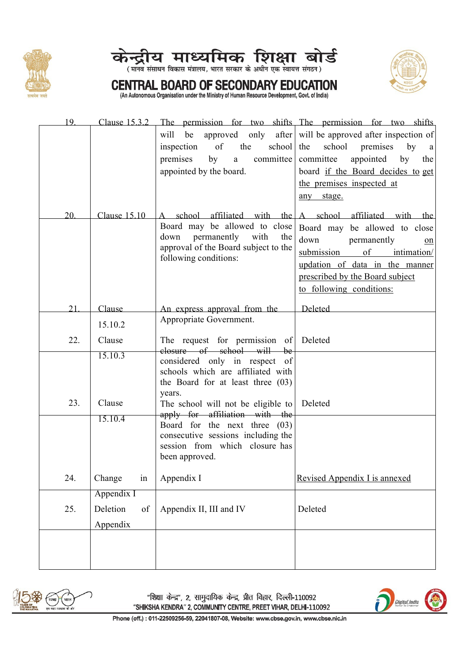





## **CENTRAL BOARD OF SECONDARY EDUCATION**<br>(An Autonomous Organisation under the Ministry of Human Resource Development, Govt. of India)

| 19. | Clause 15.3.2  |                                                                     | The permission for two shifts The permission for two shifts              |
|-----|----------------|---------------------------------------------------------------------|--------------------------------------------------------------------------|
|     |                | will                                                                | be approved only after will be approved after inspection of              |
|     |                | of<br>the<br>school<br>inspection                                   | school premises<br>the<br>by<br>a                                        |
|     |                | a committee<br>premises<br>by                                       | committee appointed<br>by<br>the                                         |
|     |                | appointed by the board.                                             | board if the Board decides to get                                        |
|     |                |                                                                     | the premises inspected at                                                |
|     |                |                                                                     | any stage.                                                               |
| 20. |                |                                                                     | Clause $15.10$ A school affiliated with the A school affiliated with the |
|     |                | Board may be allowed to close                                       | Board may be allowed to close                                            |
|     |                | down<br>permanently with<br>the                                     | down<br>permanently<br>on                                                |
|     |                | approval of the Board subject to the                                | submission<br>$\sigma$<br>intimation/                                    |
|     |                | following conditions:                                               | updation of data in the manner                                           |
|     |                |                                                                     | prescribed by the Board subject                                          |
|     |                |                                                                     | to following conditions:                                                 |
| 21  |                |                                                                     |                                                                          |
|     | Clause         | An express approval from the<br>Appropriate Government.             | Deleted                                                                  |
|     | 15.10.2        |                                                                     |                                                                          |
| 22. | Clause         | The request for permission of Deleted                               |                                                                          |
|     | 15.10.3        | closure of school will be                                           |                                                                          |
|     |                | considered only in respect of<br>schools which are affiliated with  |                                                                          |
|     |                | the Board for at least three $(03)$                                 |                                                                          |
|     |                | years.                                                              |                                                                          |
| 23. | Clause         | The school will not be eligible to                                  | Deleted                                                                  |
|     | 15.10.4        | apply for affiliation with the                                      |                                                                          |
|     |                | Board for the next three (03)<br>consecutive sessions including the |                                                                          |
|     |                | session from which closure has                                      |                                                                          |
|     |                | been approved.                                                      |                                                                          |
|     |                |                                                                     |                                                                          |
| 24. | Change<br>in   | Appendix I                                                          | Revised Appendix I is annexed                                            |
|     | Appendix I     |                                                                     |                                                                          |
| 25. | Deletion<br>of | Appendix II, III and IV                                             | Deleted                                                                  |
|     | Appendix       |                                                                     |                                                                          |
|     |                |                                                                     |                                                                          |
|     |                |                                                                     |                                                                          |
|     |                |                                                                     |                                                                          |
|     |                |                                                                     |                                                                          |



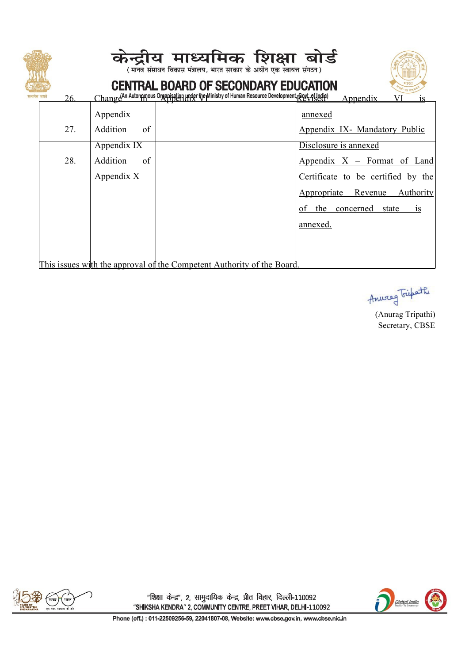| 26. |                      | केन्द्रीय माध्यमिक शिक्षा बोर्ड<br>.<br>(मानव संसाधन विकास मंत्रालय, भारत सरकार के अधीन एक स्वायत्त संगठन)<br><b>CENTRAL BOARD OF SECONDARY EDUCATION</b><br>Change An Autonomous Organisation under the Ministry of Human Resource Development, Soyt, of India)<br>Appendix |
|-----|----------------------|------------------------------------------------------------------------------------------------------------------------------------------------------------------------------------------------------------------------------------------------------------------------------|
|     | Appendix             | annexed                                                                                                                                                                                                                                                                      |
| 27. | Addition<br>$\sigma$ | Appendix IX- Mandatory Public                                                                                                                                                                                                                                                |
|     | Appendix IX          | Disclosure is annexed                                                                                                                                                                                                                                                        |
| 28. | of<br>Addition       | Appendix $X$ – Format of Land                                                                                                                                                                                                                                                |
|     | Appendix X           | Certificate to be certified by the                                                                                                                                                                                                                                           |
|     |                      | Appropriate Revenue<br>Authority                                                                                                                                                                                                                                             |
|     |                      | of the concerned<br>state<br>1S                                                                                                                                                                                                                                              |
|     |                      | annexed.                                                                                                                                                                                                                                                                     |
|     |                      |                                                                                                                                                                                                                                                                              |
|     |                      |                                                                                                                                                                                                                                                                              |
|     |                      | This issues with the approval of the Competent Authority of the Board.                                                                                                                                                                                                       |

Anweg Fispath

(Anurag Tripathi) Secretary, CBSE



"शिक्षा केन्द्र", 2, सामुदायिक केन्द्र, प्रीत विहार, दिल्ली-110092 "SHIKSHA KENDRA" 2, COMMUNITY CENTRE, PREET VIHAR, DELHI-110092

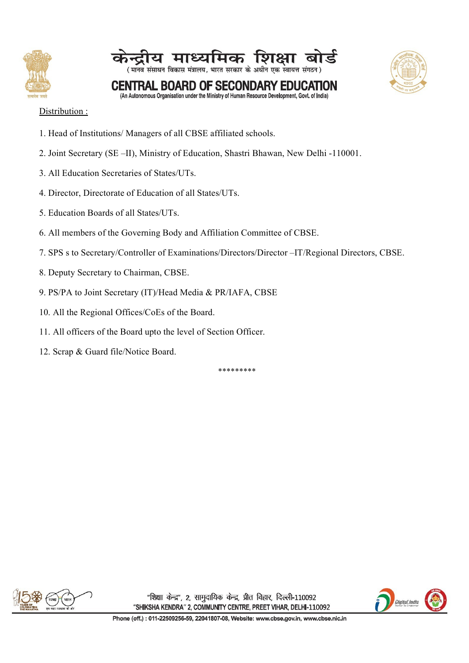





(An Autonomous Organisation under the Ministry of Human Resource Development, Govt. of India)

### Distribution :

- 1. Head of Institutions/Managers of all CBSE affiliated schools.
- 2. Joint Secretary (SE –II), Ministry of Education, Shastri Bhawan, New Delhi -110001.
- 3. All Education Secretaries of States/UTs.
- 4. Director, Directorate of Education of all States/UTs.
- 5. Education Boards of all States/UTs.
- 6. All members of the Governing Body and Affiliation Committee of CBSE.
- 7. SPS s to Secretary/Controller of Examinations/Directors/Director –IT/Regional Directors, CBSE.
- 8. Deputy Secretary to Chairman, CBSE.
- 9. PS/PA to Joint Secretary (IT)/Head Media & PR/IAFA, CBSE
- 10. All the Regional Offices/CoEs of the Board.
- 11. All officers of the Board upto the level of Section Officer.
- 12. Scrap & Guard file/Notice Board.

\*\*\*\*\*\*\*\*\*



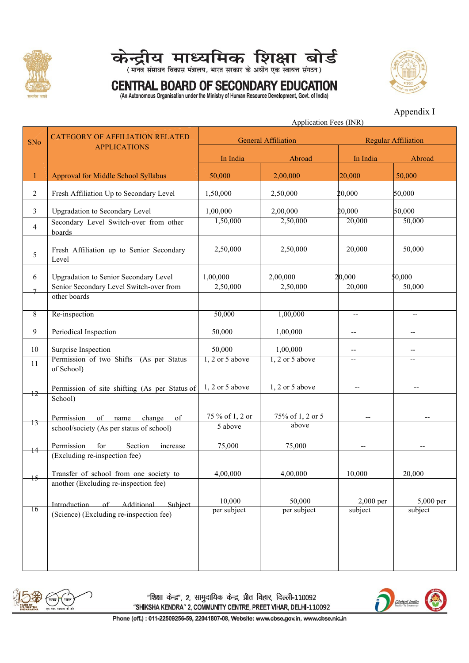



## CENTRAL BOARD OF SECONDARY EDUCATION



(An Autonomous Organisation under the Ministry of Human Resource Development, Govt. of India)

Appendix I

|                 |                                                               |                            | Application Fees (INR)     |                          |                                       |
|-----------------|---------------------------------------------------------------|----------------------------|----------------------------|--------------------------|---------------------------------------|
| SNo             | <b>CATEGORY OF AFFILIATION RELATED</b><br><b>APPLICATIONS</b> |                            | <b>General Affiliation</b> |                          | <b>Regular Affiliation</b>            |
|                 |                                                               | In India                   | Abroad                     | In India                 | Abroad                                |
| $\mathbf{1}$    | Approval for Middle School Syllabus                           | 50,000                     | 2,00,000                   | 20,000                   | 50,000                                |
|                 |                                                               |                            |                            |                          |                                       |
| $\overline{c}$  | Fresh Affiliation Up to Secondary Level                       | 1,50,000                   | 2,50,000                   | 20,000                   | 50,000                                |
| 3               | <b>Upgradation to Secondary Level</b>                         | 1,00,000                   | 2,00,000                   | 20,000                   | 50,000                                |
| 4               | Secondary Level Switch-over from other<br>boards              | 1,50,000                   | 2,50,000                   | 20,000                   | 50,000                                |
| 5               | Fresh Affiliation up to Senior Secondary<br>Level             | 2,50,000                   | 2,50,000                   | 20,000                   | 50,000                                |
| 6               | Upgradation to Senior Secondary Level                         | 1,00,000                   | 2,00,000                   | 20,000                   | \$0,000                               |
| $\mathcal{I}$   | Senior Secondary Level Switch-over from                       | 2,50,000                   | 2,50,000                   | 20,000                   | 50,000                                |
|                 | other boards                                                  |                            |                            |                          |                                       |
| 8               | Re-inspection                                                 | 50,000                     | 1,00,000                   | $\overline{\phantom{a}}$ |                                       |
| 9               | Periodical Inspection                                         | 50,000                     | 1,00,000                   | $-$                      | --                                    |
| 10              | Surprise Inspection                                           | 50,000                     | 1,00,000                   | --                       | $\hspace{0.05cm}$ – $\hspace{0.05cm}$ |
| 11              | Permission of two Shifts (As per Status<br>of School)         | $1, 2$ or 5 above          | $1, 2$ or 5 above          | $\overline{\phantom{a}}$ | --                                    |
| $+2$            | Permission of site shifting (As per Status of<br>School)      | $1, 2$ or 5 above          | $1, 2$ or 5 above          | $\overline{\phantom{a}}$ |                                       |
| 13              | Permission<br>of name<br>change<br>of                         | 75 % of 1, 2 or<br>5 above | 75% of 1, 2 or 5<br>above  | $\overline{\phantom{m}}$ |                                       |
|                 | school/society (As per status of school)                      |                            |                            |                          |                                       |
| 14              | Permission<br>for<br>Section<br>increase                      | 75,000                     | 75,000                     |                          |                                       |
|                 | (Excluding re-inspection fee)                                 |                            |                            |                          |                                       |
| $\overline{15}$ | Transfer of school from one society to                        | 4,00,000                   | 4,00,000                   | 10,000                   | 20,000                                |
|                 | another (Excluding re-inspection fee)                         |                            |                            |                          |                                       |
|                 | of Additional<br>Introduction<br>Subject                      | 10,000                     | 50,000                     | $2,000$ per              | 5,000 per                             |
| $\overline{16}$ | (Science) (Excluding re-inspection fee)                       | per subject                | per subject                | subject                  | subject                               |
|                 |                                                               |                            |                            |                          |                                       |



"शिक्षा केन्द्र", 2, सामुदायिक केन्द्र, प्रीत विहार, दिल्ली-110092 "SHIKSHA KENDRA" 2, COMMUNITY CENTRE, PREET VIHAR, DELHI-110092

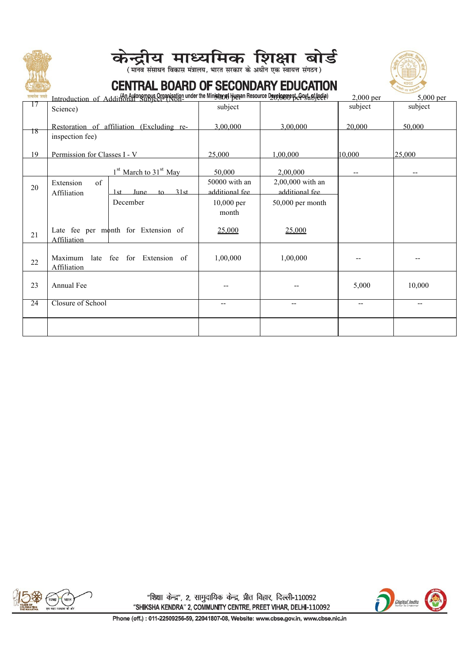





| सत्यमेव जयते    |                                      | Introduction of Additional Subject (Non-under the Ministop of Hugan Resource Developpert Gostuffede) |                                 |                                    | 2,000 per                | 5,000 per                             |
|-----------------|--------------------------------------|------------------------------------------------------------------------------------------------------|---------------------------------|------------------------------------|--------------------------|---------------------------------------|
| 17              | Science)                             |                                                                                                      | subject                         |                                    | subject                  | subject                               |
| $\overline{18}$ |                                      | Restoration of affiliation (Excluding re-                                                            | 3,00,000                        | 3,00,000                           | 20,000                   | 50,000                                |
|                 | inspection fee)                      |                                                                                                      |                                 |                                    |                          |                                       |
| 19              | Permission for Classes I - V         |                                                                                                      | 25,000                          | 1,00,000                           | 10,000                   | 25,000                                |
|                 |                                      | $1st$ March to 31 <sup>st</sup> May                                                                  | 50,000                          | 2,00,000                           | --                       | $\hspace{0.05cm}$ – $\hspace{0.05cm}$ |
| 20              | Extension<br>$\sigma$<br>Affiliation | 31st<br>June.<br>$10 -$<br>1st.                                                                      | 50000 with an<br>additional fee | 2,00,000 with an<br>additional fee |                          |                                       |
|                 |                                      | December                                                                                             | 10,000 per<br>month             | 50,000 per month                   |                          |                                       |
| 21              | Affiliation                          | Late fee per month for Extension of                                                                  | 25,000                          | 25,000                             |                          |                                       |
| $22\,$          | Affiliation                          | Maximum late fee for Extension of                                                                    | 1,00,000                        | 1,00,000                           |                          |                                       |
| 23              | Annual Fee                           |                                                                                                      |                                 |                                    | 5,000                    | 10,000                                |
| 24              | Closure of School                    |                                                                                                      | $-$                             | $\overline{\phantom{a}}$           | $\overline{\phantom{a}}$ | $- -$                                 |
|                 |                                      |                                                                                                      |                                 |                                    |                          |                                       |



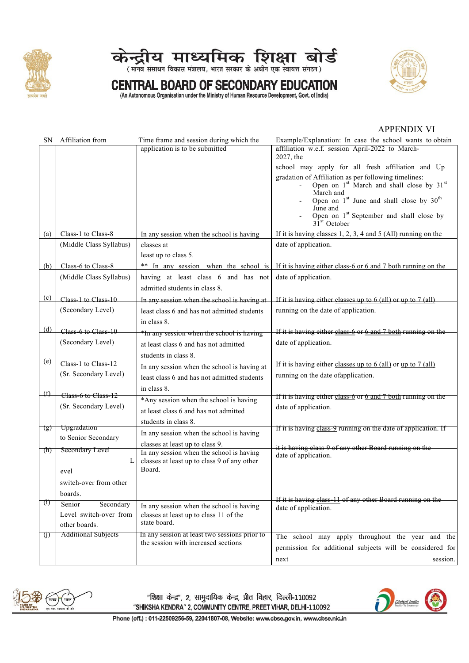



## **CENTRAL BOARD OF SECONDARY EDUCATION**<br>(An Autonomous Organisation under the Ministry of Human Resource Development, Govt. of India)



#### **APPENDIX VI**

| SN               | Affiliation from           | Time frame and session during which the                                              | Example/Explanation: In case the school wants to obtain                                                                   |
|------------------|----------------------------|--------------------------------------------------------------------------------------|---------------------------------------------------------------------------------------------------------------------------|
|                  |                            | application is to be submitted                                                       | affiliation w.e.f. session April-2022 to March-                                                                           |
|                  |                            |                                                                                      | 2027, the                                                                                                                 |
|                  |                            |                                                                                      | school may apply for all fresh affiliation and Up                                                                         |
|                  |                            |                                                                                      | gradation of Affiliation as per following timelines:<br>Open on 1 <sup>st</sup> March and shall close by 31 <sup>st</sup> |
|                  |                            |                                                                                      | March and                                                                                                                 |
|                  |                            |                                                                                      | Open on 1st June and shall close by 30 <sup>th</sup>                                                                      |
|                  |                            |                                                                                      | June and                                                                                                                  |
|                  |                            |                                                                                      | Open on $1^{st}$ September and shall close by $31^{st}$ October                                                           |
| (a)              | Class-1 to Class-8         | In any session when the school is having                                             | If it is having classes $1, 2, 3, 4$ and $5$ (All) running on the                                                         |
|                  | (Middle Class Syllabus)    | classes at                                                                           | date of application.                                                                                                      |
|                  |                            | least up to class 5.                                                                 |                                                                                                                           |
| (b)              | Class-6 to Class-8         |                                                                                      | ** In any session when the school is If it is having either class-6 or 6 and 7 both running on the                        |
|                  | (Middle Class Syllabus)    | having at least class 6 and has not                                                  | date of application.                                                                                                      |
|                  |                            | admitted students in class 8.                                                        |                                                                                                                           |
| (c)              | Class-1 to Class-10        | In any session when the school is having at                                          | If it is having either classes up to $6$ (all) or up to $7$ (all)                                                         |
|                  | (Secondary Level)          | least class 6 and has not admitted students                                          | running on the date of application.                                                                                       |
|                  |                            | in class 8.                                                                          |                                                                                                                           |
| (d)              | Class-6 to Class-10        | *In any session when the school is having                                            | If it is having either class-6 or 6 and 7 both running on the                                                             |
|                  | (Secondary Level)          | at least class 6 and has not admitted                                                | date of application.                                                                                                      |
|                  |                            | students in class 8.                                                                 |                                                                                                                           |
|                  | $(e)$ Class-1 to Class-12  | In any session when the school is having at                                          | If it is having either classes up to $6$ (all) or up to $7$ (all)                                                         |
|                  | (Sr. Secondary Level)      | least class 6 and has not admitted students                                          | running on the date of application.                                                                                       |
|                  |                            | in class 8.                                                                          |                                                                                                                           |
| $\oplus$         | Class-6 to Class-12        | *Any session when the school is having                                               | If it is having either class-6 or 6 and 7 both running on the                                                             |
|                  | (Sr. Secondary Level)      | at least class 6 and has not admitted                                                | date of application.                                                                                                      |
|                  |                            | students in class 8.                                                                 |                                                                                                                           |
| (g)              | Upgradation                | In any session when the school is having                                             | If it is having class-9 running on the date of application. If                                                            |
|                  | to Senior Secondary        | classes at least up to class 9.                                                      |                                                                                                                           |
| (ħ)              | Secondary Level            | In any session when the school is having                                             | it is having class-9 of any other Board running on the<br>date of application.                                            |
|                  | L                          | classes at least up to class 9 of any other                                          |                                                                                                                           |
|                  | evel                       | Board.                                                                               |                                                                                                                           |
|                  | switch-over from other     |                                                                                      |                                                                                                                           |
|                  | boards.                    |                                                                                      |                                                                                                                           |
| $\left(1\right)$ | Secondary<br>Senior        | In any session when the school is having                                             | If it is having class-11 of any other Board running on the<br>date of application.                                        |
|                  | Level switch-over from     | classes at least up to class 11 of the                                               |                                                                                                                           |
|                  | other boards.              | state board.                                                                         |                                                                                                                           |
| $\bigcup$        | <b>Additional Subjects</b> | In any session at least two sessions prior to<br>the session with increased sections | The school may apply throughout the year and the                                                                          |
|                  |                            |                                                                                      | permission for additional subjects will be considered for                                                                 |
|                  |                            |                                                                                      | session.<br>next                                                                                                          |



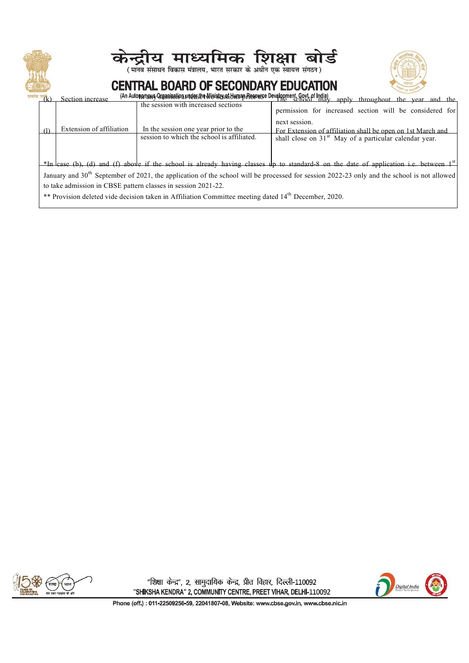| Section increase<br>Extension of affiliation | केन्द्रीय माध्यमिक शिक्षा बोर्ड<br>(मानव संसाधन विकास मंत्रालय, भारत सरकार के अधीन एक स्वायत्त संगठन)<br><b>CENTRAL BOARD OF SECONDARY EDUCATION</b><br>(An Autonomous Greasination under the Winistershill unap Resource Development, Govt. of India)<br>the session with increased sections<br>In the session one year prior to the | apply throughout the year and the<br>permission for increased section will be considered for<br>next session.<br>For Extension of affiliation shall be open on 1st March and                                                                                                                                                                                           |
|----------------------------------------------|---------------------------------------------------------------------------------------------------------------------------------------------------------------------------------------------------------------------------------------------------------------------------------------------------------------------------------------|------------------------------------------------------------------------------------------------------------------------------------------------------------------------------------------------------------------------------------------------------------------------------------------------------------------------------------------------------------------------|
|                                              | session to which the school is affiliated.<br>to take admission in CBSE pattern classes in session 2021-22.<br>** Provision deleted vide decision taken in Affiliation Committee meeting dated $14^{th}$ December, 2020.                                                                                                              | shall close on 31 <sup>st</sup> May of a particular calendar year.<br>*In case (b), (d) and (f) above if the school is already having classes up to standard-8 on the date of application i.e. between 1 <sup>st</sup><br>January and $30th$ September of 2021, the application of the school will be processed for session 2022-23 only and the school is not allowed |



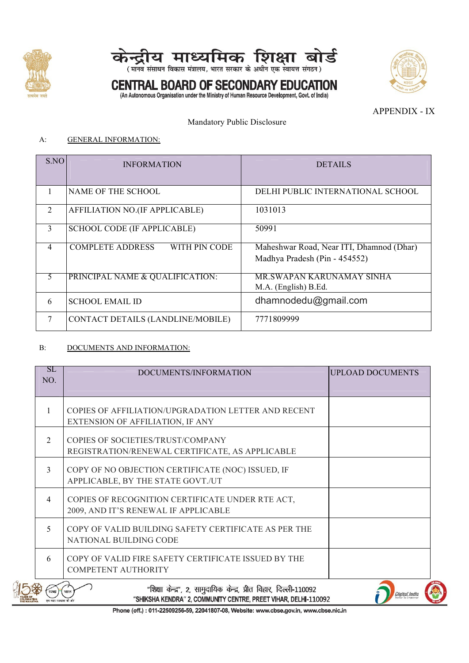



# **CENTRAL BOARD OF SECONDARY EDUCATION** (An Autonomous Organisation under the Ministry of Human Resource Development, Govt. of India)



APPENDIX - IX

Mandatory Public Disclosure

#### A: GENERAL INFORMATION:

| SNO            | <b>INFORMATION</b>                       | <b>DETAILS</b>                           |
|----------------|------------------------------------------|------------------------------------------|
|                |                                          |                                          |
| $\mathbf{I}$   | NAME OF THE SCHOOL                       | DELHI PUBLIC INTERNATIONAL SCHOOL        |
| 2              | AFFILIATION NO.(IF APPLICABLE)           | 1031013                                  |
| 3              | <b>SCHOOL CODE (IF APPLICABLE)</b>       | 50991                                    |
| $\overline{4}$ | <b>COMPLETE ADDRESS</b><br>WITH PIN CODE | Maheshwar Road, Near ITI, Dhamnod (Dhar) |
|                |                                          | Madhya Pradesh (Pin - 454552)            |
|                | PRINCIPAL NAME & QUALIFICATION:          | <b>MR.SWAPAN KARUNAMAY SINHA</b>         |
|                |                                          | M.A. (English) B.Ed.                     |
| 6              | <b>SCHOOL EMAIL ID</b>                   | dhamnodedu@gmail.com                     |
|                | CONTACT DETAILS (LANDLINE/MOBILE)        | 7771809999                               |

### B: DOCUMENTS AND INFORMATION:

| SL<br>NO.    | DOCUMENTS/INFORMATION                                                                                                                 | <b>UPLOAD DOCUMENTS</b> |
|--------------|---------------------------------------------------------------------------------------------------------------------------------------|-------------------------|
| $\mathbf{1}$ | COPIES OF AFFILIATION/UPGRADATION LETTER AND RECENT<br>EXTENSION OF AFFILIATION, IF ANY                                               |                         |
| 2            | COPIES OF SOCIETIES/TRUST/COMPANY<br>REGISTRATION/RENEWAL CERTIFICATE, AS APPLICABLE                                                  |                         |
| 3            | COPY OF NO OBJECTION CERTIFICATE (NOC) ISSUED, IF<br>APPLICABLE, BY THE STATE GOVT./UT                                                |                         |
| 4            | COPIES OF RECOGNITION CERTIFICATE UNDER RTE ACT,<br>2009, AND IT'S RENEWAL IF APPLICABLE                                              |                         |
| 5            | COPY OF VALID BUILDING SAFETY CERTIFICATE AS PER THE<br>NATIONAL BUILDING CODE                                                        |                         |
| 6            | COPY OF VALID FIRE SAFETY CERTIFICATE ISSUED BY THE<br><b>COMPETENT AUTHORITY</b>                                                     |                         |
|              | "शिक्षा केन्द्र", 2, सामुदायिक केन्द्र, प्रीत विहार, दिल्ली-110092<br>"SHIKSHA KENDRA" 2, COMMUNITY CENTRE, PREET VIHAR, DELHI-110092 | <b>Digital India</b>    |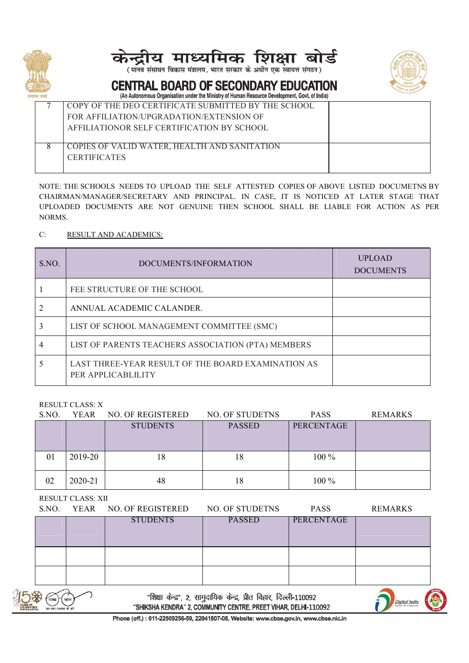





#### **CENTRAL BOARD OF SECONDARY EDUCATION** (An Autonomous Organisation under the Ministry of Human Resource Development, Goyt, of India)

| It as a security and we have seen as a security security of the security in the world we have been as a security of the security of the security of the second security of the second security of the second second second sec |
|--------------------------------------------------------------------------------------------------------------------------------------------------------------------------------------------------------------------------------|
| COPY OF THE DEO CERTIFICATE SUBMITTED BY THE SCHOOL                                                                                                                                                                            |
| FOR AFFILIATION/UPGRADATION/EXTENSION OF                                                                                                                                                                                       |
| AFFILIATIONOR SELF CERTIFICATION BY SCHOOL                                                                                                                                                                                     |
|                                                                                                                                                                                                                                |
| COPIES OF VALID WATER, HEALTH AND SANITATION                                                                                                                                                                                   |
| <b>CERTIFICATES</b>                                                                                                                                                                                                            |
|                                                                                                                                                                                                                                |
|                                                                                                                                                                                                                                |

NOTE: THE SCHOOLS NEEDS TO UPLOAD THE SELF ATTESTED COPIES OF ABOVE LISTED DOCUMETNS BY CHAIRMAN/MANAGER/SECRETARY AND PRINCIPAL. IN CASE, IT IS NOTICED AT LATER STAGE THAT UPLOADED DOCUMENTS ARE NOT GENUINE THEN SCHOOL SHALL BE LIABLE FOR ACTION AS PER NORMS.

### C: RESULT AND ACADEMICS:

| S.NO. | DOCUMENTS/INFORMATION                                                    | <b>UPLOAD</b><br><b>DOCUMENTS</b> |
|-------|--------------------------------------------------------------------------|-----------------------------------|
|       | FEE STRUCTURE OF THE SCHOOL                                              |                                   |
|       | ANNUAL ACADEMIC CALANDER.                                                |                                   |
|       | LIST OF SCHOOL MANAGEMENT COMMITTEE (SMC)                                |                                   |
|       | LIST OF PARENTS TEACHERS ASSOCIATION (PTA) MEMBERS                       |                                   |
|       | LAST THREE-YEAR RESULT OF THE BOARD EXAMINATION AS<br>PER APPLICABLILITY |                                   |

RESULT CLASS: X

| S.NO. | <b>YEAR</b> | NO. OF REGISTERED | NO. OF STUDETNS | <b>PASS</b> | REMARKS |
|-------|-------------|-------------------|-----------------|-------------|---------|
|       |             | <b>STUDENTS</b>   | <b>PASSED</b>   | PERCENTAGE  |         |
|       |             |                   |                 |             |         |
|       |             |                   |                 |             |         |
| 01    | 2019-20     | 18                | 18              | 100 %       |         |
|       |             |                   |                 |             |         |
| 02    | 2020-21     | 48                | 18              | $100\%$     |         |
|       |             |                   |                 |             |         |

RESULT CLASS: XII

|                             | S.NO.                                  | YEAR | <b>NO. OF REGISTERED</b> | NO. OF STUDETNS                                                                                                                       | <b>PASS</b> | <b>REMARKS</b>       |
|-----------------------------|----------------------------------------|------|--------------------------|---------------------------------------------------------------------------------------------------------------------------------------|-------------|----------------------|
|                             |                                        |      | <b>STUDENTS</b>          | <b>PASSED</b>                                                                                                                         | PERCENTAGE  |                      |
|                             |                                        |      |                          |                                                                                                                                       |             |                      |
|                             |                                        |      |                          |                                                                                                                                       |             |                      |
|                             |                                        |      |                          |                                                                                                                                       |             |                      |
|                             |                                        |      |                          |                                                                                                                                       |             |                      |
| \$<br><b>ATING</b><br>HATMA | स्वच्छ । भारत<br>एक कदप स्वच्छता की ओर |      |                          | "शिक्षा केन्द्र", 2, सामुदायिक केन्द्र, प्रीत विहार, दिल्ली-110092<br>"SHIKSHA KENDRA" 2, COMMUNITY CENTRE, PREET VIHAR, DELHI-110092 |             | <b>Digital India</b> |

२, सामुदायिक केन्द्र, प्रांत विहार, दिल्ला-1 "SHIKSHA KENDRA" 2, COMMUNITY CENTRE, PREET VIHAR, DELHI-110092

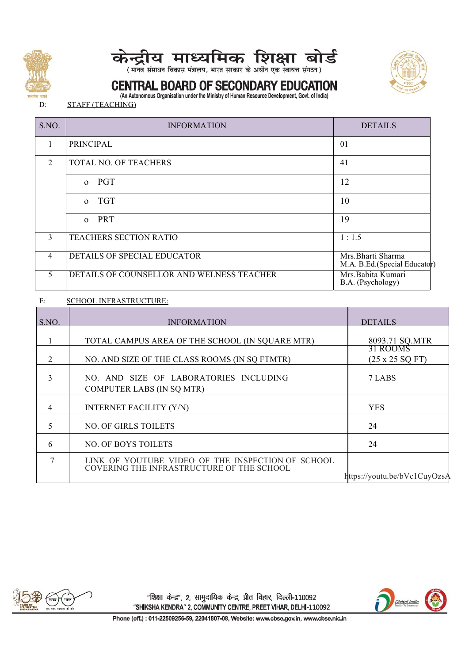





## CENTRAL BOARD OF SECONDARY EDUCATION

(An Autonomous Organisation under the Ministry of Human Resource Development, Govt. of India)

D: STAFF (TEACHING)

| S.NO.          | <b>INFORMATION</b>                        | <b>DETAILS</b>                                    |
|----------------|-------------------------------------------|---------------------------------------------------|
| $\mathbf{L}$   | PRINCIPAL                                 | 01                                                |
| 2              | TOTAL NO. OF TEACHERS                     | 41                                                |
|                | o PGT                                     | 12                                                |
|                | o TGT                                     | 10                                                |
|                | o PRT                                     | 19                                                |
| 3 <sup>1</sup> | TEACHERS SECTION RATIO                    | 1:1.5                                             |
| 4              | DETAILS OF SPECIAL EDUCATOR               | Mrs.Bharti Sharma<br>M.A. B.Ed.(Special Educator) |
| 5.             | DETAILS OF COUNSELLOR AND WELNESS TEACHER | Mrs.Babita Kumari<br>B.A. (Psychology)            |

### E: SCHOOL INFRASTRUCTURE:

| S.NO.          | <b>INFORMATION</b>                                                                             | <b>DETAILS</b>                             |
|----------------|------------------------------------------------------------------------------------------------|--------------------------------------------|
|                | TOTAL CAMPUS AREA OF THE SCHOOL (IN SQUARE MTR)                                                | 8093.71 SQ.MTR                             |
| $\overline{2}$ | NO. AND SIZE OF THE CLASS ROOMS (IN SQ FTMTR)                                                  | 31 ROOMS<br>$(25 \times 25 \text{ SQ FT})$ |
| 3              | NO. AND SIZE OF LABORATORIES INCLUDING<br><b>COMPUTER LABS (IN SQ MTR)</b>                     | 7 LABS                                     |
| 4              | <b>INTERNET FACILITY (Y/N)</b>                                                                 | <b>YES</b>                                 |
|                | NO. OF GIRLS TOILETS                                                                           | 24                                         |
| 6              | <b>NO. OF BOYS TOILETS</b>                                                                     | 24                                         |
|                | LINK OF YOUTUBE VIDEO OF THE INSPECTION OF SCHOOL<br>COVERING THE INFRASTRUCTURE OF THE SCHOOL | https://youtu.be/bVc1CuyOzsA               |



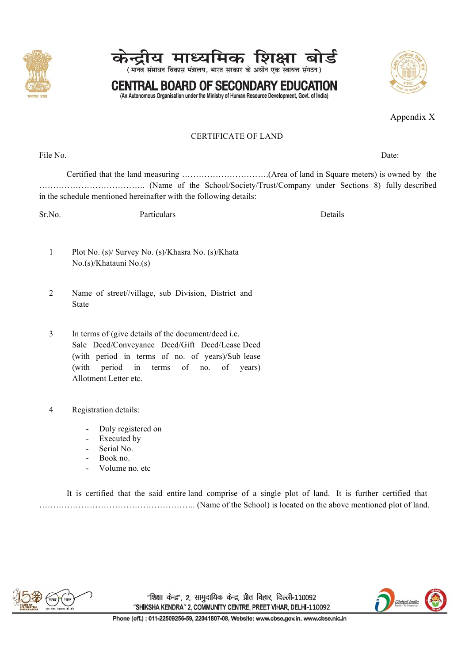







Appendix X

#### CERTIFICATE OF LAND

File No. Date:  $\Box$ 

Certified that the land measuring ………………………….(Area of land in Square meters)is owned by the ……………………………….. (Name of the School/Society/Trust/Company under Sections 8) fully described in the schedule mentioned hereinafter with the following details:

Sr.No. Particulars Particulars Details

- 1 Plot No. (s)/ Survey No. (s)/Khasra No. (s)/Khata No.(s)/Khatauni No.(s)
- 2 Name of street//village, sub Division, District and State
- 3 In terms of (give details of the document/deed i.e. Sale Deed/Conveyance Deed/Gift Deed/Lease Deed (with period in terms of no. of years)/Sub lease (with period in terms of no. of years) Allotment Letter etc.
- 4 Registration details:
	- Duly registered on
	- Executed by
	- Serial No.
	- Book no.
	- Volume no. etc

It is certified that the said entire land comprise of a single plot of land. It is further certified that ……………………………………………….. (Name of the School) is located on the above mentioned plot of land.